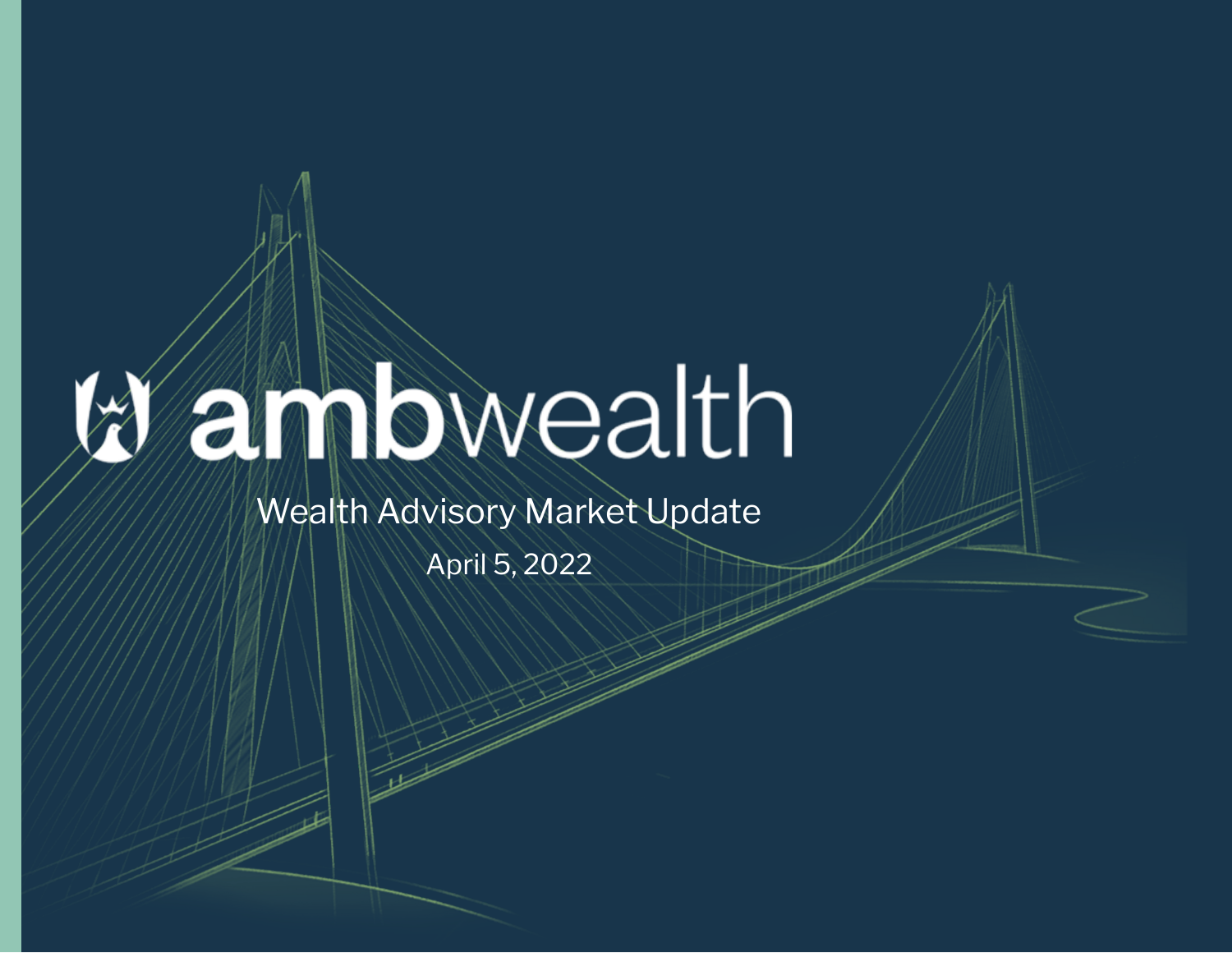## annbwealth

Wealth Advisory Market Update

April 5, 2022